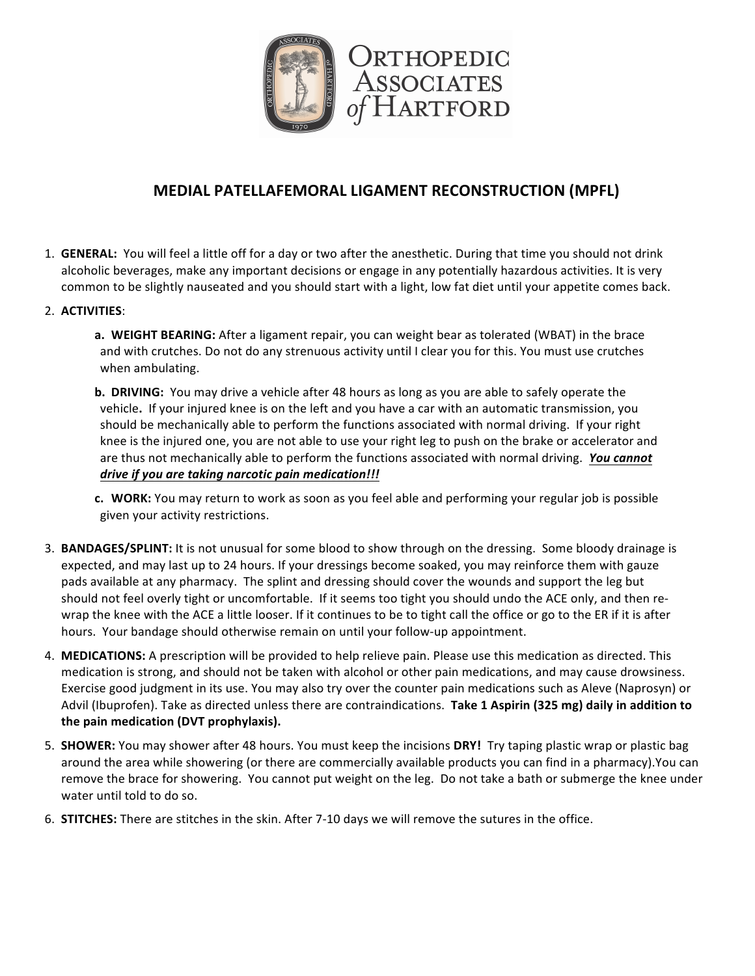

## **MEDIAL PATELLAFEMORAL LIGAMENT RECONSTRUCTION (MPFL)**

- 1. **GENERAL:** You will feel a little off for a day or two after the anesthetic. During that time you should not drink alcoholic beverages, make any important decisions or engage in any potentially hazardous activities. It is very common to be slightly nauseated and you should start with a light, low fat diet until your appetite comes back.
- 2. **ACTIVITIES**:
	- **a. WEIGHT BEARING:** After a ligament repair, you can weight bear as tolerated (WBAT) in the brace and with crutches. Do not do any strenuous activity until I clear you for this. You must use crutches when ambulating.
	- **b. DRIVING:** You may drive a vehicle after 48 hours as long as you are able to safely operate the vehicle. If your injured knee is on the left and you have a car with an automatic transmission, you should be mechanically able to perform the functions associated with normal driving. If your right knee is the injured one, you are not able to use your right leg to push on the brake or accelerator and are thus not mechanically able to perform the functions associated with normal driving. You cannot *drive if you are taking narcotic pain medication!!!*
	- **c. WORK:** You may return to work as soon as you feel able and performing your regular job is possible given your activity restrictions.
- 3. **BANDAGES/SPLINT:** It is not unusual for some blood to show through on the dressing. Some bloody drainage is expected, and may last up to 24 hours. If your dressings become soaked, you may reinforce them with gauze pads available at any pharmacy. The splint and dressing should cover the wounds and support the leg but should not feel overly tight or uncomfortable. If it seems too tight you should undo the ACE only, and then rewrap the knee with the ACE a little looser. If it continues to be to tight call the office or go to the ER if it is after hours. Your bandage should otherwise remain on until your follow-up appointment.
- 4. **MEDICATIONS:** A prescription will be provided to help relieve pain. Please use this medication as directed. This medication is strong, and should not be taken with alcohol or other pain medications, and may cause drowsiness. Exercise good judgment in its use. You may also try over the counter pain medications such as Aleve (Naprosyn) or Advil (Ibuprofen). Take as directed unless there are contraindications. Take 1 Aspirin (325 mg) daily in addition to the pain medication (DVT prophylaxis).
- 5. **SHOWER:** You may shower after 48 hours. You must keep the incisions DRY! Try taping plastic wrap or plastic bag around the area while showering (or there are commercially available products you can find in a pharmacy).You can remove the brace for showering. You cannot put weight on the leg. Do not take a bath or submerge the knee under water until told to do so.
- 6. **STITCHES:** There are stitches in the skin. After 7-10 days we will remove the sutures in the office.